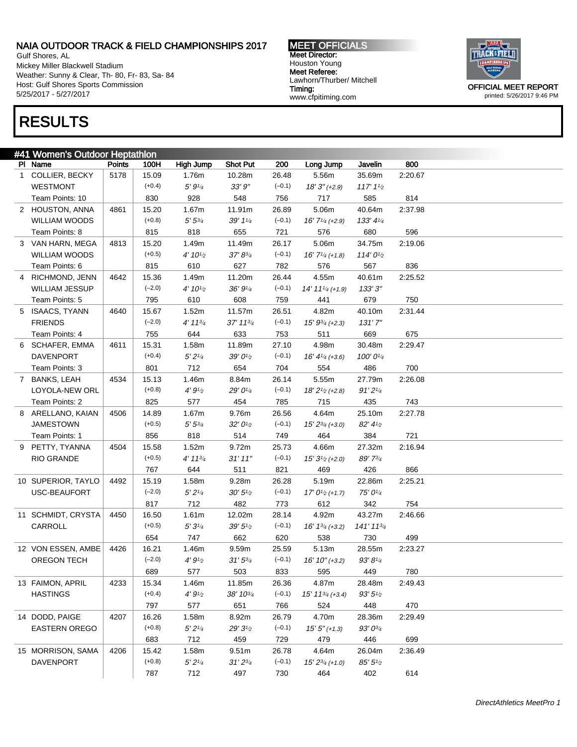Gulf Shores, AL Mickey Miller Blackwell Stadium Weather: Sunny & Clear, Th- 80, Fr- 83, Sa- 84 Host: Gulf Shores Sports Commission 5/25/2017 - 5/27/2017

#### MEET OFFICIALS Meet Director: Houston Young Meet Referee: Lawhorn/Thurber/ Mitchell Timing: www.cfpitiming.com



printed: 5/26/2017 9:46 PM

# RESULTS

| #41 Women's Outdoor Heptathlon |                       |               |          |                    |                    |          |                               |                       |         |  |  |
|--------------------------------|-----------------------|---------------|----------|--------------------|--------------------|----------|-------------------------------|-----------------------|---------|--|--|
|                                | PI Name               | <b>Points</b> | 100H     | High Jump          | <b>Shot Put</b>    | 200      | Long Jump                     | Javelin               | 800     |  |  |
|                                | 1 COLLIER, BECKY      | 5178          | 15.09    | 1.76m              | 10.28m             | 26.48    | 5.56m                         | 35.69m                | 2:20.67 |  |  |
|                                | <b>WESTMONT</b>       |               | $(+0.4)$ | 5' 91/4            | 33'9''             | $(-0.1)$ | $18'3''$ (+2.9)               | $117'11_2$            |         |  |  |
|                                | Team Points: 10       |               | 830      | 928                | 548                | 756      | 717                           | 585                   | 814     |  |  |
|                                | 2 HOUSTON, ANNA       | 4861          | 15.20    | 1.67m              | 11.91m             | 26.89    | 5.06m                         | 40.64m                | 2:37.98 |  |  |
|                                | <b>WILLIAM WOODS</b>  |               | $(+0.8)$ | $5' 5^{3/4}$       | 39' 11/4           | $(-0.1)$ | $16'$ $7\frac{1}{4}$ (+2.9)   | $133' 4\frac{1}{4}$   |         |  |  |
|                                | Team Points: 8        |               | 815      | 818                | 655                | 721      | 576                           | 680                   | 596     |  |  |
|                                | 3 VAN HARN, MEGA      | 4813          | 15.20    | 1.49m              | 11.49m             | 26.17    | 5.06m                         | 34.75m                | 2:19.06 |  |  |
|                                | <b>WILLIAM WOODS</b>  |               | $(+0.5)$ | $4' 10\frac{1}{2}$ | 37' 83/4           | $(-0.1)$ | $16'$ $7\frac{1}{4}$ (+1.8)   | 114'0 <sup>1</sup> /2 |         |  |  |
|                                | Team Points: 6        |               | 815      | 610                | 627                | 782      | 576                           | 567                   | 836     |  |  |
|                                | 4 RICHMOND, JENN      | 4642          | 15.36    | 1.49m              | 11.20m             | 26.44    | 4.55m                         | 40.61m                | 2:25.52 |  |  |
|                                | <b>WILLIAM JESSUP</b> |               | $(-2.0)$ | $4' 10\frac{1}{2}$ | 36' 91/4           | $(-0.1)$ | $14' 11'$ /4 (+1.9)           | 133'3''               |         |  |  |
|                                | Team Points: 5        |               | 795      | 610                | 608                | 759      | 441                           | 679                   | 750     |  |  |
|                                | 5 ISAACS, TYANN       | 4640          | 15.67    | 1.52m              | 11.57m             | 26.51    | 4.82m                         | 40.10m                | 2:31.44 |  |  |
|                                | <b>FRIENDS</b>        |               | $(-2.0)$ | $4' 11^{3/4}$      | 37' 113/4          | $(-0.1)$ | $15' 9^{3/4}$ (+2.3)          | 131'7''               |         |  |  |
|                                | Team Points: 4        |               | 755      | 644                | 633                | 753      | 511                           | 669                   | 675     |  |  |
|                                | 6 SCHAFER, EMMA       | 4611          | 15.31    | 1.58m              | 11.89m             | 27.10    | 4.98m                         | 30.48m                | 2:29.47 |  |  |
|                                | <b>DAVENPORT</b>      |               | $(+0.4)$ | 5'2''              | $39'0\frac{1}{2}$  | $(-0.1)$ | $16' 41/4 (+3.6)$             | 100'01/4              |         |  |  |
|                                | Team Points: 3        |               | 801      | 712                | 654                | 704      | 554                           | 486                   | 700     |  |  |
|                                | 7 BANKS, LEAH         | 4534          | 15.13    | 1.46m              | 8.84m              | 26.14    | 5.55m                         | 27.79m                | 2:26.08 |  |  |
|                                | LOYOLA-NEW ORL        |               | $(+0.8)$ | 4'9'' <sub>2</sub> | 29' 01/4           | $(-0.1)$ | $18'2^{1/2}(+2.8)$            | 91'2''                |         |  |  |
|                                | Team Points: 2        |               | 825      | 577                | 454                | 785      | 715                           | 435                   | 743     |  |  |
|                                | 8 ARELLANO, KAIAN     | 4506          | 14.89    | 1.67m              | 9.76m              | 26.56    | 4.64m                         | 25.10m                | 2:27.78 |  |  |
|                                | <b>JAMESTOWN</b>      |               | $(+0.5)$ | $5' 5^{3/4}$       | 32'01/2            | $(-0.1)$ | $15' 2^{3/4}$ (+3.0)          | 82' 41/2              |         |  |  |
|                                | Team Points: 1        |               | 856      | 818                | 514                | 749      | 464                           | 384                   | 721     |  |  |
|                                | 9 PETTY, TYANNA       | 4504          | 15.58    | 1.52m              | 9.72m              | 25.73    | 4.66m                         | 27.32m                | 2:16.94 |  |  |
|                                | <b>RIO GRANDE</b>     |               | $(+0.5)$ | $4' 11^{3/4}$      | 31'11''            | $(-0.1)$ | $15'3^{1/2}(+2.0)$            | 89' 73/4              |         |  |  |
|                                |                       |               | 767      | 644                | 511                | 821      | 469                           | 426                   | 866     |  |  |
|                                | 10 SUPERIOR, TAYLO    | 4492          | 15.19    | 1.58m              | 9.28m              | 26.28    | 5.19m                         | 22.86m                | 2:25.21 |  |  |
|                                | USC-BEAUFORT          |               | $(-2.0)$ | 5'2'' <sub>4</sub> | $30' 5\frac{1}{2}$ | $(-0.1)$ | $17' 01/2$ (+1.7)             | 75' 01/4              |         |  |  |
|                                |                       |               | 817      | 712                | 482                | 773      | 612                           | 342                   | 754     |  |  |
|                                | 11 SCHMIDT, CRYSTA    | 4450          | 16.50    | 1.61m              | 12.02m             | 28.14    | 4.92m                         | 43.27m                | 2:46.66 |  |  |
|                                | CARROLL               |               | $(+0.5)$ | 5'3''              | $39' 5\%$          | $(-0.1)$ | $16' 1^{3/4}$ (+3.2)          | 141' 113/4            |         |  |  |
|                                |                       |               | 654      | 747                | 662                | 620      | 538                           | 730                   | 499     |  |  |
|                                | 12 VON ESSEN, AMBE    | 4426          | 16.21    | 1.46m              | 9.59m              | 25.59    | 5.13m                         | 28.55m                | 2:23.27 |  |  |
|                                | OREGON TECH           |               | $(-2.0)$ | 4'9'' <sub>2</sub> | $31'5^{3/4}$       | $(-0.1)$ | $16' 10'' (+3.2)$             | $93' 8\frac{1}{4}$    |         |  |  |
|                                |                       |               | 689      | 577                | 503                | 833      | 595                           | 449                   | 780     |  |  |
|                                | 13 FAIMON, APRIL      | 4233          | 15.34    | 1.46m              | 11.85m             | 26.36    | 4.87m                         | 28.48m                | 2:49.43 |  |  |
|                                | <b>HASTINGS</b>       |               | $(+0.4)$ | 4'9'' <sub>2</sub> | 38' 103/4          | $(-0.1)$ | $15'$ 11 $\frac{3}{4}$ (+3.4) | $93' 5\frac{1}{2}$    |         |  |  |
|                                |                       |               | 797      | 577                | 651                | 766      | 524                           | 448                   | 470     |  |  |
|                                | 14 DODD, PAIGE        | 4207          | 16.26    | 1.58m              | 8.92m              | 26.79    | 4.70m                         | 28.36m                | 2:29.49 |  |  |
|                                | <b>EASTERN OREGO</b>  |               | $(+0.8)$ | 5'2''/4            | $29'3\frac{1}{2}$  | $(-0.1)$ | $15'5''(+1.3)$                | 93' 03/4              |         |  |  |
|                                |                       |               | 683      | 712                | 459                | 729      | 479                           | 446                   | 699     |  |  |
|                                | 15 MORRISON, SAMA     | 4206          | 15.42    | 1.58m              | 9.51 <sub>m</sub>  | 26.78    | 4.64m                         | 26.04m                | 2:36.49 |  |  |
|                                | <b>DAVENPORT</b>      |               | $(+0.8)$ | 5'2''/4            | $31'2^{3/4}$       | $(-0.1)$ | $15' 2^{3/4}$ (+1.0)          | 85'5''                |         |  |  |
|                                |                       |               | 787      | 712                | 497                |          | 464                           |                       |         |  |  |
|                                |                       |               |          |                    |                    | 730      |                               | 402                   | 614     |  |  |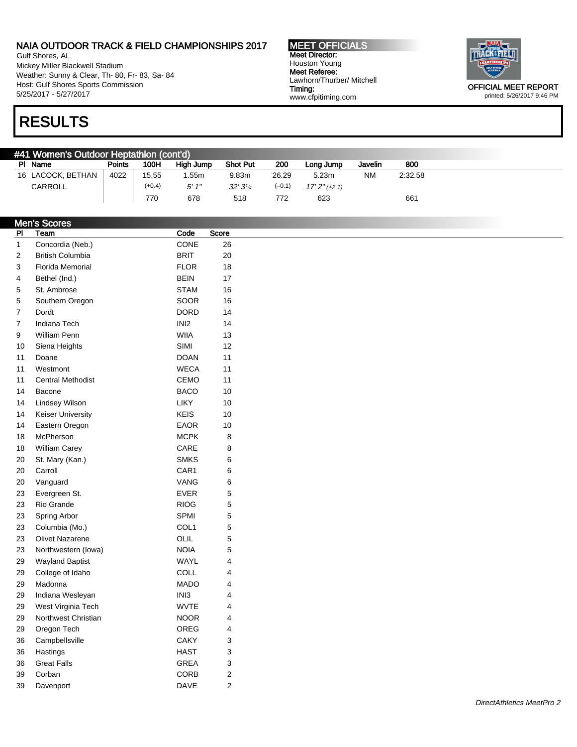Gulf Shores, AL Mickey Miller Blackwell Stadium Weather: Sunny & Clear, Th- 80, Fr- 83, Sa- 84 Host: Gulf Shores Sports Commission 5/25/2017 - 5/27/2017

RESULTS

MEET OFFICIALS Meet Director: Houston Young Meet Referee: Lawhorn/Thurber/ Mitchell Timing: www.cfpitiming.com



printed: 5/26/2017 9:46 PM

| #41 Women's Outdoor Heptathlon (cont'd) |               |          |           |                 |          |                 |           |         |  |  |  |
|-----------------------------------------|---------------|----------|-----------|-----------------|----------|-----------------|-----------|---------|--|--|--|
| PI Name                                 | <b>Points</b> | 100H     | High Jump | <b>Shot Put</b> | 200      | Long Jump       | Javelin   | 800     |  |  |  |
| 16 LACOCK, BETHAN                       | 4022          | 15.55    | .55m      | 9.83m           | 26.29    | 5.23m           | <b>NM</b> | 2:32.58 |  |  |  |
| CARROLL                                 |               | $(+0.4)$ | 5'1''     | 32'31/4         | $(-0.1)$ | $17'2''$ (+2.1) |           |         |  |  |  |
|                                         |               | 770      | 678       | 518             | 772      | 623             |           | 661     |  |  |  |

|                | <b>Men's Scores</b>      |             |                |
|----------------|--------------------------|-------------|----------------|
| P <sub>1</sub> | Team                     | Code        | Score          |
| $\mathbf{1}$   | Concordia (Neb.)         | CONE        | 26             |
| 2              | <b>British Columbia</b>  | <b>BRIT</b> | 20             |
| 3              | <b>Florida Memorial</b>  | <b>FLOR</b> | 18             |
| 4              | Bethel (Ind.)            | <b>BEIN</b> | 17             |
| 5              | St. Ambrose              | <b>STAM</b> | 16             |
| 5              | Southern Oregon          | SOOR        | 16             |
| $\overline{7}$ | Dordt                    | <b>DORD</b> | 14             |
| 7              | Indiana Tech             | INI2        | 14             |
| 9              | William Penn             | <b>WIIA</b> | 13             |
| 10             | Siena Heights            | SIMI        | 12             |
| 11             | Doane                    | <b>DOAN</b> | 11             |
| 11             | Westmont                 | <b>WECA</b> | 11             |
| 11             | <b>Central Methodist</b> | CEMO        | 11             |
| 14             | Bacone                   | <b>BACO</b> | 10             |
| 14             | Lindsey Wilson           | LIKY        | 10             |
| 14             | Keiser University        | <b>KEIS</b> | 10             |
| 14             | Eastern Oregon           | EAOR        | 10             |
| 18             | McPherson                | <b>MCPK</b> | 8              |
| 18             | William Carey            | CARE        | 8              |
| 20             | St. Mary (Kan.)          | <b>SMKS</b> | 6              |
| 20             | Carroll                  | CAR1        | 6              |
| 20             | Vanguard                 | VANG        | 6              |
| 23             | Evergreen St.            | EVER        | 5              |
| 23             | Rio Grande               | <b>RIOG</b> | 5              |
| 23             | Spring Arbor             | SPMI        | 5              |
| 23             | Columbia (Mo.)           | COL1        | 5              |
| 23             | <b>Olivet Nazarene</b>   | OLIL        | 5              |
| 23             | Northwestern (lowa)      | <b>NOIA</b> | 5              |
| 29             | <b>Wayland Baptist</b>   | WAYL        | 4              |
| 29             | College of Idaho         | COLL        | 4              |
| 29             | Madonna                  | <b>MADO</b> | 4              |
| 29             | Indiana Wesleyan         | INI3        | 4              |
| 29             | West Virginia Tech       | <b>WVTE</b> | 4              |
| 29             | Northwest Christian      | <b>NOOR</b> | 4              |
| 29             | Oregon Tech              | OREG        | 4              |
| 36             | Campbellsville           | CAKY        | 3              |
| 36             | Hastings                 | <b>HAST</b> | 3              |
| 36             | <b>Great Falls</b>       | <b>GREA</b> | 3              |
| 39             | Corban                   | CORB        | $\overline{c}$ |
| 39             | Davenport                | DAVE        | $\overline{2}$ |
|                |                          |             |                |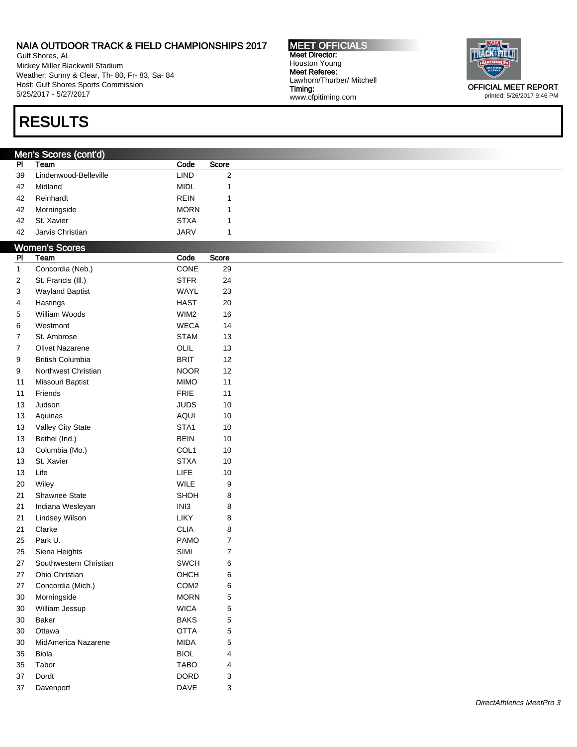Gulf Shores, AL Mickey Miller Blackwell Stadium Weather: Sunny & Clear, Th- 80, Fr- 83, Sa- 84 Host: Gulf Shores Sports Commission 5/25/2017 - 5/27/2017

# RESULTS

### Men's Scores (cont'd)

| PI | Team                  | Code        | Score |
|----|-----------------------|-------------|-------|
| 39 | Lindenwood-Belleville | LIND        | 2     |
| 42 | Midland               | <b>MIDL</b> |       |
| 42 | Reinhardt             | <b>REIN</b> |       |
| 42 | Morningside           | <b>MORN</b> |       |
| 42 | St. Xavier            | <b>STXA</b> |       |
| 42 | Jarvis Christian      | <b>JARV</b> |       |

| P <sub>1</sub>   | <b>Women's Scores</b><br>Team | Code             | Score                   |  |
|------------------|-------------------------------|------------------|-------------------------|--|
| $\mathbf{1}$     | Concordia (Neb.)              | CONE             | 29                      |  |
| $\sqrt{2}$       | St. Francis (III.)            | <b>STFR</b>      | 24                      |  |
| 3                | <b>Wayland Baptist</b>        | WAYL             | 23                      |  |
| 4                | Hastings                      | <b>HAST</b>      | 20                      |  |
| $\mathbf 5$      | William Woods                 | WIM2             | 16                      |  |
| 6                | Westmont                      | <b>WECA</b>      | 14                      |  |
| $\overline{7}$   | St. Ambrose                   | <b>STAM</b>      | 13                      |  |
| $\boldsymbol{7}$ | Olivet Nazarene               | OLIL             | 13                      |  |
| 9                | <b>British Columbia</b>       | <b>BRIT</b>      | 12                      |  |
| 9                | Northwest Christian           | <b>NOOR</b>      | 12                      |  |
| 11               | Missouri Baptist              | <b>MIMO</b>      | 11                      |  |
| 11               | Friends                       | <b>FRIE</b>      | 11                      |  |
| 13               | Judson                        | <b>JUDS</b>      | $10$                    |  |
| 13               | Aquinas                       | <b>AQUI</b>      | $10$                    |  |
| 13               | Valley City State             | STA1             | $10$                    |  |
| 13               | Bethel (Ind.)                 | <b>BEIN</b>      | 10                      |  |
| 13               | Columbia (Mo.)                | COL1             | $10$                    |  |
| 13               | St. Xavier                    | <b>STXA</b>      | $10$                    |  |
| 13               | Life                          | LIFE             | 10                      |  |
| 20               | Wiley                         | WILE             | $\boldsymbol{9}$        |  |
| 21               | Shawnee State                 | SHOH             | 8                       |  |
| 21               | Indiana Wesleyan              | INI3             | 8                       |  |
| 21               | Lindsey Wilson                | LIKY             | $\bf8$                  |  |
| 21               | Clarke                        | <b>CLIA</b>      | 8                       |  |
| 25               | Park U.                       | <b>PAMO</b>      | $\boldsymbol{7}$        |  |
| 25               | Siena Heights                 | SIMI             | $\overline{7}$          |  |
| 27               | Southwestern Christian        | SWCH             | $\,6$                   |  |
| 27               | Ohio Christian                | OHCH             | $\,6$                   |  |
| 27               | Concordia (Mich.)             | COM <sub>2</sub> | 6                       |  |
| 30               | Morningside                   | <b>MORN</b>      | $\mathbf 5$             |  |
| $30\,$           | William Jessup                | <b>WICA</b>      | 5                       |  |
| 30               | <b>Baker</b>                  | <b>BAKS</b>      | 5                       |  |
| $30\,$           | Ottawa                        | <b>OTTA</b>      | $\mathbf 5$             |  |
| 30               | MidAmerica Nazarene           | <b>MIDA</b>      | 5                       |  |
| 35               | <b>Biola</b>                  | <b>BIOL</b>      | $\overline{\mathbf{4}}$ |  |
| 35               | Tabor                         | <b>TABO</b>      | 4                       |  |
| 37               | Dordt                         | <b>DORD</b>      | 3                       |  |
| 37               | Davenport                     | DAVE             | 3                       |  |
|                  |                               |                  |                         |  |

MEET OFFICIALS Meet Director: Houston Young Meet Referee: Lawhorn/Thurber/ Mitchell Timing: www.cfpitiming.com



printed: 5/26/2017 9:46 PM